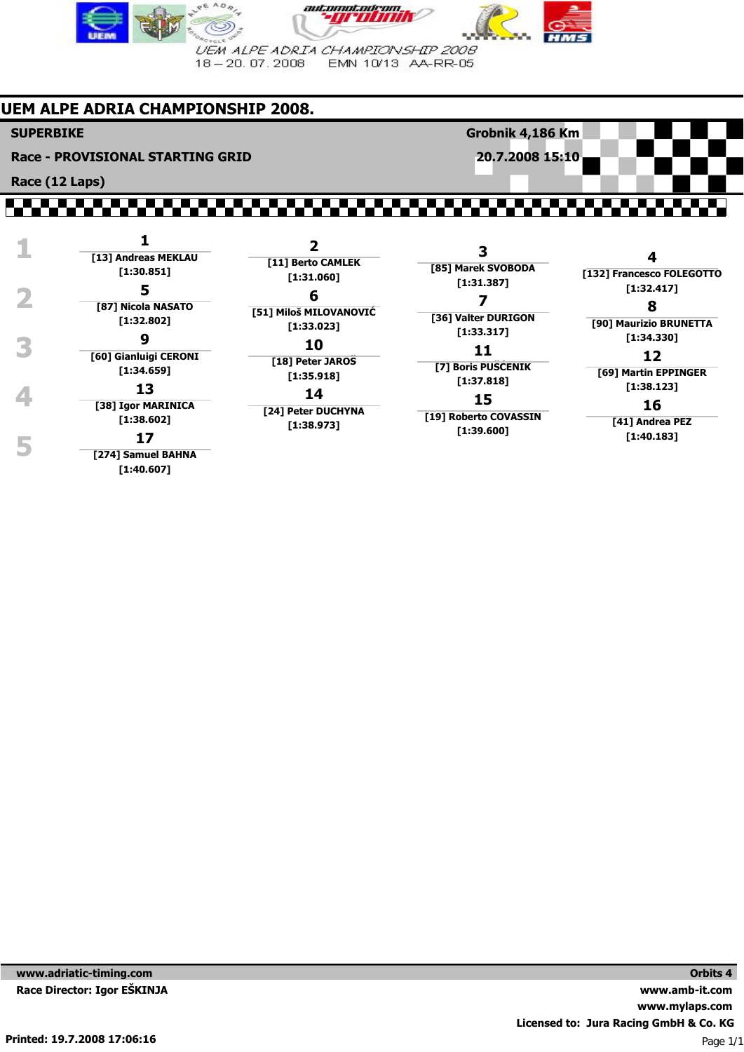

# **UEM ALPE ADRIA CHAMPIONSHIP 2008.**

### **SUPERBIKE**

**Race (12 Laps)**

**Race - PROVISIONAL STARTING GRID**

**Grobnik 4,186 Km 20.7.2008 15:10**

#### ,,,,,,,,,,,,,,,,, ,,,,,,,,,

| [85] Marek SVOBODA<br>[132] Francesco FOLEGOTTO<br>[1:31.387]<br>[1:32.417]<br>8<br>[36] Valter DURIGON<br>[90] Maurizio BRUNETTA<br>[1:33.317]<br>[1:34.330]<br>12<br>[7] Boris PUSCENIK<br>[69] Martin EPPINGER<br>[1:37.818]<br>[1:38.123]<br>15<br>16<br>[19] Roberto COVASSIN<br>[41] Andrea PEZ<br>[1:39.600]<br>[1:40.183] |
|-----------------------------------------------------------------------------------------------------------------------------------------------------------------------------------------------------------------------------------------------------------------------------------------------------------------------------------|
|                                                                                                                                                                                                                                                                                                                                   |